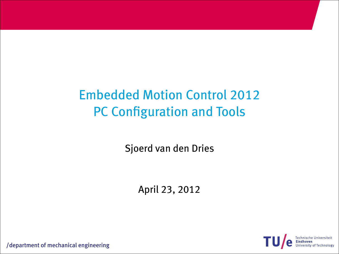# Embedded Motion Control 2012 PC Configuration and Tools

Sjoerd van den Dries

April 23, 2012

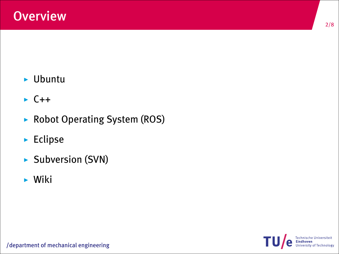- $\blacktriangleright$  Ubuntu
- $\triangleright$  C++
- $\triangleright$  Robot Operating System (ROS)
- $\blacktriangleright$  Eclipse
- $\triangleright$  Subversion (SVN)
- $\blacktriangleright$  Wiki

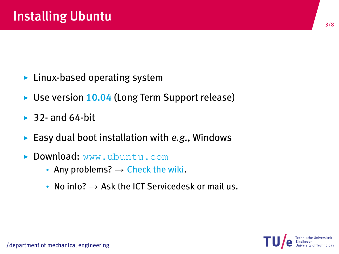- $\blacktriangleright$  Linux-based operating system
- $\triangleright$  Use version 10.04 (Long Term Support release)
- $\rightarrow$  32- and 64-bit
- Easy dual boot installation with  $e.g.,$  Windows
- Download: www.ubuntu.com
	- Any problems?  $\rightarrow$  Check the wiki.
	- No info?  $\rightarrow$  Ask the ICT Servicedesk or mail us.

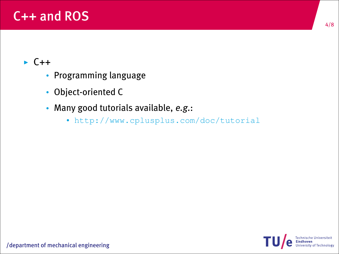## C++ and ROS

#### $\cdot$  C++

- Programming language
- Object-oriented C
- Many good tutorials available, e.g.:
	- http://www.cplusplus.com/doc/tutorial

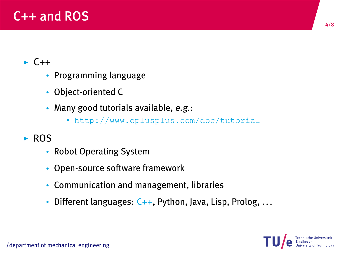## $C_{++}$  and ROS

#### $\cdot$  C++

- Programming language
- Object-oriented C
- Many good tutorials available, e.g.:
	- http://www.cplusplus.com/doc/tutorial

#### $\blacktriangleright$  ROS

- Robot Operating System
- Open-source software framework
- Communication and management, libraries
- Different languages:  $C_{++}$ , Python, Java, Lisp, Prolog, ...

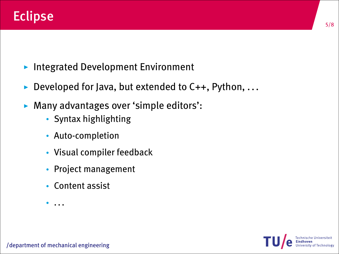- Integrated Development Environment
- Developed for Java, but extended to  $C_{++}$ , Python, ...
- ▶ Many advantages over 'simple editors':
	- Syntax highlighting
	- Auto-completion
	- Visual compiler feedback
	- Project management
	- Content assist
	- ...

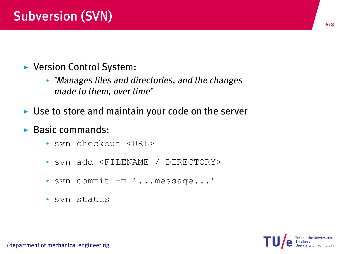- $\blacktriangleright$  Version Control System:
	- 'Manages files and directories, and the changes made to them, over time'
- $\blacktriangleright$  Use to store and maintain your code on the server
- $\triangleright$  Basic commands:
	- svn checkout <URL>
	- svn add <FILENAME / DIRECTORY>
	- svn commit -m '...message...'
	- svn status



/department of mechanical engineering

6/8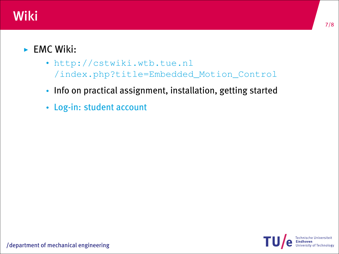## Wiki

#### $\blacktriangleright$  FMC Wiki:

- http://cstwiki.wtb.tue.nl /index.php?title=Embedded\_Motion\_Control
- Info on practical assignment, installation, getting started
- Log-in: student account



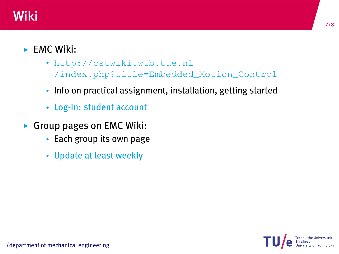## Wiki

#### $\blacktriangleright$  FMC Wiki:

- http://cstwiki.wtb.tue.nl /index.php?title=Embedded\_Motion\_Control
- Info on practical assignment, installation, getting started
- Log-in: student account
- $\triangleright$  Group pages on EMC Wiki:
	- Each group its own page
	- Update at least weekly

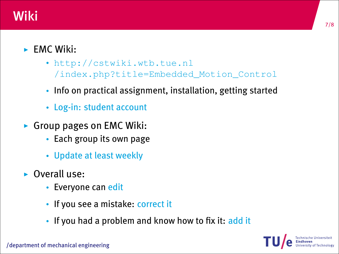## Wiki

#### $\blacktriangleright$  FMC Wiki:

- http://cstwiki.wtb.tue.nl /index.php?title=Embedded\_Motion\_Control
- Info on practical assignment, installation, getting started
- Log-in: student account
- $\triangleright$  Group pages on EMC Wiki:
	- Each group its own page
	- Update at least weekly
- **D** Overall use:
	- Everyone can edit
	- If you see a mistake: correct it
	- If you had a problem and know how to fix it: add it